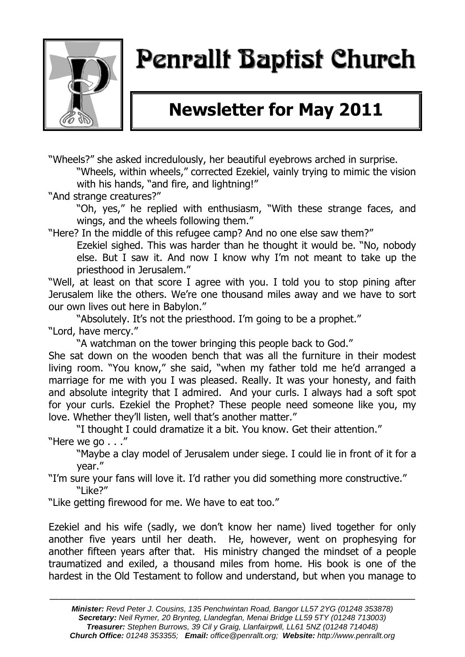

# Penrallt Baptist Church

## **Newsletter for May 2011**

"Wheels?" she asked incredulously, her beautiful eyebrows arched in surprise. "Wheels, within wheels," corrected Ezekiel, vainly trying to mimic the vision with his hands, "and fire, and lightning!"

"And strange creatures?"

"Oh, yes," he replied with enthusiasm, "With these strange faces, and wings, and the wheels following them."

"Here? In the middle of this refugee camp? And no one else saw them?"

Ezekiel sighed. This was harder than he thought it would be. "No, nobody else. But I saw it. And now I know why I"m not meant to take up the priesthood in Jerusalem."

"Well, at least on that score I agree with you. I told you to stop pining after Jerusalem like the others. We"re one thousand miles away and we have to sort our own lives out here in Babylon."

"Absolutely. It's not the priesthood. I'm going to be a prophet." "Lord, have mercy."

"A watchman on the tower bringing this people back to God."

She sat down on the wooden bench that was all the furniture in their modest living room. "You know," she said, "when my father told me he"d arranged a marriage for me with you I was pleased. Really. It was your honesty, and faith and absolute integrity that I admired. And your curls. I always had a soft spot for your curls. Ezekiel the Prophet? These people need someone like you, my love. Whether they'll listen, well that's another matter."

"I thought I could dramatize it a bit. You know. Get their attention." "Here we go . . ."

"Maybe a clay model of Jerusalem under siege. I could lie in front of it for a year."

"I"m sure your fans will love it. I"d rather you did something more constructive." "Like?"

"Like getting firewood for me. We have to eat too."

Ezekiel and his wife (sadly, we don"t know her name) lived together for only another five years until her death. He, however, went on prophesying for another fifteen years after that. His ministry changed the mindset of a people traumatized and exiled, a thousand miles from home. His book is one of the hardest in the Old Testament to follow and understand, but when you manage to

———————————————————————————————————————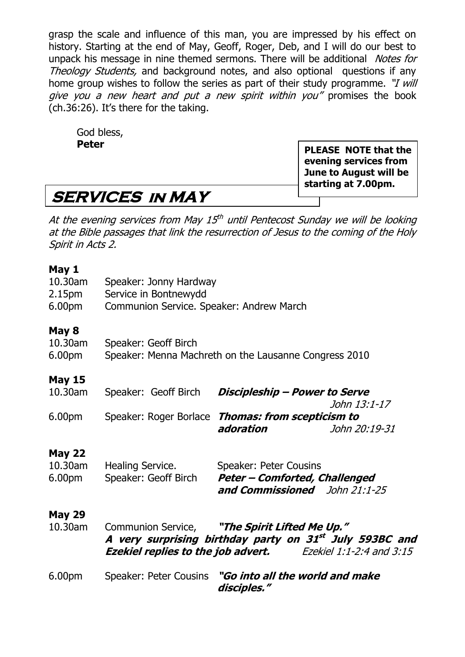grasp the scale and influence of this man, you are impressed by his effect on history. Starting at the end of May, Geoff, Roger, Deb, and I will do our best to unpack his message in nine themed sermons. There will be additional *Notes for* Theology Students, and background notes, and also optional questions if any home group wishes to follow the series as part of their study programme. "*I will* give you a new heart and put a new spirit within you" promises the book (ch.36:26). It"s there for the taking.

God bless, **Peter**

**PLEASE NOTE that the evening services from June to August will be starting at 7.00pm.**

### **SERVICES in MAY**

At the evening services from May 15<sup>th</sup> until Pentecost Sunday we will be looking at the Bible passages that link the resurrection of Jesus to the coming of the Holy Spirit in Acts 2.

#### **May 1**

| 10.30am<br>2.15 <sub>pm</sub><br>6.00pm | Speaker: Jonny Hardway<br>Service in Bontnewydd<br>Communion Service. Speaker: Andrew March |                                                                                                                                                                                |  |  |  |
|-----------------------------------------|---------------------------------------------------------------------------------------------|--------------------------------------------------------------------------------------------------------------------------------------------------------------------------------|--|--|--|
| May 8<br>10.30am<br>6.00pm              | Speaker: Geoff Birch                                                                        | Speaker: Menna Machreth on the Lausanne Congress 2010                                                                                                                          |  |  |  |
| <b>May 15</b><br>10.30am                | Speaker: Geoff Birch                                                                        | Discipleship - Power to Serve<br>John 13:1-17                                                                                                                                  |  |  |  |
| 6.00pm                                  |                                                                                             | Speaker: Roger Borlace Thomas: from scepticism to<br>adoration<br>John 20:19-31                                                                                                |  |  |  |
| <b>May 22</b><br>10.30am<br>6.00pm      | Healing Service.<br>Speaker: Geoff Birch                                                    | Speaker: Peter Cousins<br><b>Peter - Comforted, Challenged</b><br>and Commissioned John 21:1-25                                                                                |  |  |  |
| <b>May 29</b><br>10.30am                |                                                                                             | Communion Service, "The Spirit Lifted Me Up."<br>A very surprising birthday party on 31st July 593BC and<br><b>Ezekiel replies to the job advert.</b> Ezekiel 1:1-2:4 and 3:15 |  |  |  |
| 6.00pm                                  | Speaker: Peter Cousins                                                                      | "Go into all the world and make<br>disciples."                                                                                                                                 |  |  |  |
|                                         |                                                                                             |                                                                                                                                                                                |  |  |  |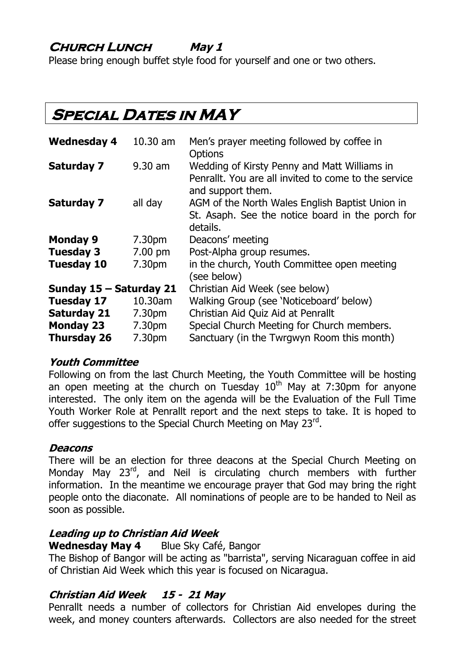### **Church Lunch May 1**

Please bring enough buffet style food for yourself and one or two others.

### **SPECIAL DATES IN MAY**

| <b>Wednesday 4</b>      | $10.30$ am         | Men's prayer meeting followed by coffee in<br><b>Options</b>                                                              |  |
|-------------------------|--------------------|---------------------------------------------------------------------------------------------------------------------------|--|
| <b>Saturday 7</b>       | $9.30$ am          | Wedding of Kirsty Penny and Matt Williams in<br>Penrallt. You are all invited to come to the service<br>and support them. |  |
| <b>Saturday 7</b>       | all day            | AGM of the North Wales English Baptist Union in<br>St. Asaph. See the notice board in the porch for<br>details.           |  |
| <b>Monday 9</b>         | 7.30 <sub>pm</sub> | Deacons' meeting                                                                                                          |  |
| <b>Tuesday 3</b>        | $7.00 \text{ pm}$  | Post-Alpha group resumes.                                                                                                 |  |
| <b>Tuesday 10</b>       | 7.30pm             | in the church, Youth Committee open meeting<br>(see below)                                                                |  |
| Sunday 15 - Saturday 21 |                    | Christian Aid Week (see below)                                                                                            |  |
| <b>Tuesday 17</b>       | 10.30am            | Walking Group (see 'Noticeboard' below)                                                                                   |  |
| <b>Saturday 21</b>      | 7.30pm             | Christian Aid Quiz Aid at Penrallt                                                                                        |  |
| <b>Monday 23</b>        | 7.30pm             | Special Church Meeting for Church members.                                                                                |  |
| <b>Thursday 26</b>      | 7.30pm             | Sanctuary (in the Twrgwyn Room this month)                                                                                |  |

#### **Youth Committee**

Following on from the last Church Meeting, the Youth Committee will be hosting an open meeting at the church on Tuesday  $10<sup>th</sup>$  May at 7:30pm for anyone interested. The only item on the agenda will be the Evaluation of the Full Time Youth Worker Role at Penrallt report and the next steps to take. It is hoped to offer suggestions to the Special Church Meeting on May 23rd.

#### **Deacons**

There will be an election for three deacons at the Special Church Meeting on Monday May 23<sup>rd</sup>, and Neil is circulating church members with further information. In the meantime we encourage prayer that God may bring the right people onto the diaconate. All nominations of people are to be handed to Neil as soon as possible.

#### **Leading up to Christian Aid Week**

**Wednesday May 4** Blue Sky Café, Bangor

The Bishop of Bangor will be acting as "barrista", serving Nicaraguan coffee in aid of Christian Aid Week which this year is focused on Nicaragua.

#### **Christian Aid Week 15 - 21 May**

Penrallt needs a number of collectors for Christian Aid envelopes during the week, and money counters afterwards. Collectors are also needed for the street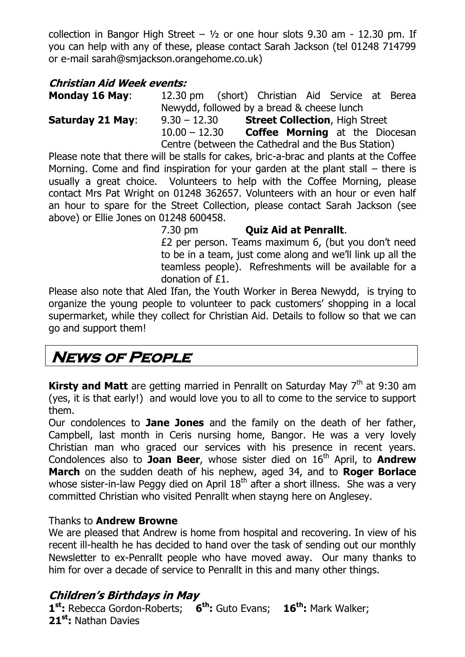collection in Bangor High Street –  $1/2$  or one hour slots 9.30 am - 12.30 pm. If you can help with any of these, please contact Sarah Jackson (tel 01248 714799 or e-mail [sarah@smjackson.orangehome.co.uk\)](mailto:sarah@smjackson.orangehome.co.uk)

#### **Christian Aid Week events:**

**Monday 16 May**: 12.30 pm (short) Christian Aid Service at Berea Newydd, followed by a bread & cheese lunch

**Saturday 21 May**: 9.30 – 12.30 **Street Collection**, High Street 10.00 – 12.30 **Coffee Morning** at the Diocesan Centre (between the Cathedral and the Bus Station)

Please note that there will be stalls for cakes, bric-a-brac and plants at the Coffee Morning. Come and find inspiration for your garden at the plant stall – there is usually a great choice. Volunteers to help with the Coffee Morning, please contact Mrs Pat Wright on 01248 362657. Volunteers with an hour or even half an hour to spare for the Street Collection, please contact Sarah Jackson (see above) or Ellie Jones on 01248 600458.

> 7.30 pm **Quiz Aid at Penrallt**. £2 per person. Teams maximum 6, (but you don"t need to be in a team, just come along and we"ll link up all the teamless people). Refreshments will be available for a donation of £1.

Please also note that Aled Ifan, the Youth Worker in Berea Newydd, is trying to organize the young people to volunteer to pack customers" shopping in a local supermarket, while they collect for Christian Aid. Details to follow so that we can go and support them!

### **News of People**

**Kirsty and Matt** are getting married in Penrallt on Saturday May 7<sup>th</sup> at 9:30 am (yes, it is that early!) and would love you to all to come to the service to support them.

Our condolences to **Jane Jones** and the family on the death of her father, Campbell, last month in Ceris nursing home, Bangor. He was a very lovely Christian man who graced our services with his presence in recent years. Condolences also to **Joan Beer**, whose sister died on 16<sup>th</sup> April, to **Andrew March** on the sudden death of his nephew, aged 34, and to **Roger Borlace** whose sister-in-law Peggy died on April  $18<sup>th</sup>$  after a short illness. She was a very committed Christian who visited Penrallt when stayng here on Anglesey.

#### Thanks to **Andrew Browne**

We are pleased that Andrew is home from hospital and recovering. In view of his recent ill-health he has decided to hand over the task of sending out our monthly Newsletter to ex-Penrallt people who have moved away. Our many thanks to him for over a decade of service to Penrallt in this and many other things.

#### **Children's Birthdays in May**

**1 st:** Rebecca Gordon-Roberts; **6 th:** Guto Evans; **16th:** Mark Walker; **21st:** Nathan Davies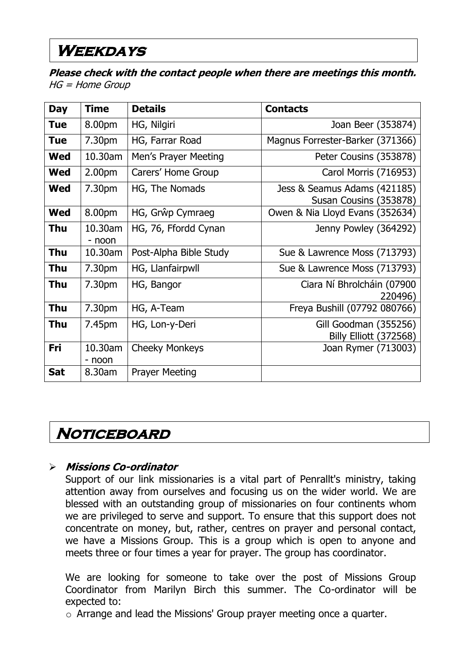### **Weekdays**

**Please check with the contact people when there are meetings this month.**  HG = Home Group

| <b>Day</b> | <b>Time</b>        | <b>Details</b>         | <b>Contacts</b>                                        |
|------------|--------------------|------------------------|--------------------------------------------------------|
| <b>Tue</b> | 8.00pm             | HG, Nilgiri            | Joan Beer (353874)                                     |
| <b>Tue</b> | 7.30pm             | HG, Farrar Road        | Magnus Forrester-Barker (371366)                       |
| <b>Wed</b> | 10.30am            | Men's Prayer Meeting   | Peter Cousins (353878)                                 |
| Wed        | 2.00 <sub>pm</sub> | Carers' Home Group     | Carol Morris (716953)                                  |
| Wed        | 7.30pm             | HG, The Nomads         | Jess & Seamus Adams (421185)<br>Susan Cousins (353878) |
| <b>Wed</b> | 8.00pm             | HG, Grŵp Cymraeg       | Owen & Nia Lloyd Evans (352634)                        |
| <b>Thu</b> | 10.30am<br>- noon  | HG, 76, Ffordd Cynan   | Jenny Powley (364292)                                  |
| <b>Thu</b> | 10.30am            | Post-Alpha Bible Study | Sue & Lawrence Moss (713793)                           |
| <b>Thu</b> | 7.30pm             | HG, Llanfairpwll       | Sue & Lawrence Moss (713793)                           |
| <b>Thu</b> | 7.30pm             | HG, Bangor             | Ciara Ní Bhrolcháin (07900<br>220496)                  |
| <b>Thu</b> | 7.30pm             | HG, A-Team             | Freya Bushill (07792 080766)                           |
| <b>Thu</b> | 7.45pm             | HG, Lon-y-Deri         | Gill Goodman (355256)<br>Billy Elliott (372568)        |
| Fri        | 10.30am<br>- noon  | <b>Cheeky Monkeys</b>  | Joan Rymer (713003)                                    |
| <b>Sat</b> | 8.30am             | <b>Prayer Meeting</b>  |                                                        |

### **Noticeboard**

#### **Missions Co-ordinator**

Support of our link missionaries is a vital part of Penrallt's ministry, taking attention away from ourselves and focusing us on the wider world. We are blessed with an outstanding group of missionaries on four continents whom we are privileged to serve and support. To ensure that this support does not concentrate on money, but, rather, centres on prayer and personal contact, we have a Missions Group. This is a group which is open to anyone and meets three or four times a year for prayer. The group has coordinator.

We are looking for someone to take over the post of Missions Group Coordinator from Marilyn Birch this summer. The Co-ordinator will be expected to:

o Arrange and lead the Missions' Group prayer meeting once a quarter.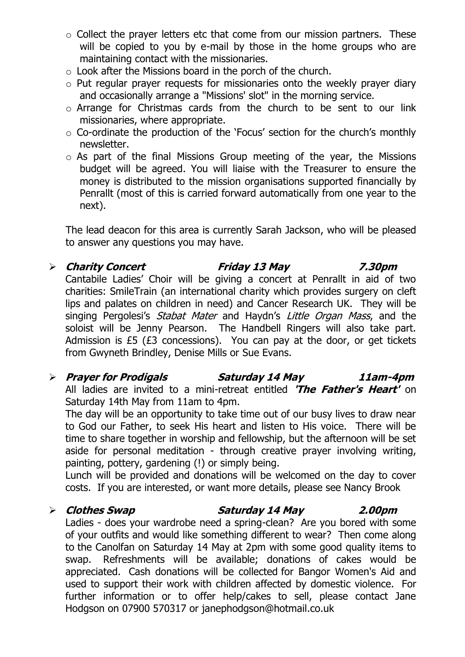- o Collect the prayer letters etc that come from our mission partners. These will be copied to you by e-mail by those in the home groups who are maintaining contact with the missionaries.
- o Look after the Missions board in the porch of the church.
- o Put regular prayer requests for missionaries onto the weekly prayer diary and occasionally arrange a "Missions' slot" in the morning service.
- o Arrange for Christmas cards from the church to be sent to our link missionaries, where appropriate.
- $\circ$  Co-ordinate the production of the 'Focus' section for the church's monthly newsletter.
- $\circ$  As part of the final Missions Group meeting of the year, the Missions budget will be agreed. You will liaise with the Treasurer to ensure the money is distributed to the mission organisations supported financially by Penrallt (most of this is carried forward automatically from one year to the next).

The lead deacon for this area is currently Sarah Jackson, who will be pleased to answer any questions you may have.

#### **Charity Concert Friday 13 May 7.30pm** Cantabile Ladies" Choir will be giving a concert at Penrallt in aid of two charities: SmileTrain (an international charity which provides surgery on cleft lips and palates on children in need) and Cancer Research UK. They will be singing Pergolesi's *Stabat Mater* and Haydn's *Little Organ Mass*, and the soloist will be Jenny Pearson. The Handbell Ringers will also take part. Admission is £5 (£3 concessions). You can pay at the door, or get tickets from Gwyneth Brindley, Denise Mills or Sue Evans.

#### **Prayer for Prodigals Saturday 14 May 11am-4pm** All ladies are invited to a mini-retreat entitled **'The Father's Heart'** on Saturday 14th May from 11am to 4pm.

The day will be an opportunity to take time out of our busy lives to draw near to God our Father, to seek His heart and listen to His voice. There will be time to share together in worship and fellowship, but the afternoon will be set aside for personal meditation - through creative prayer involving writing, painting, pottery, gardening (!) or simply being.

Lunch will be provided and donations will be welcomed on the day to cover costs. If you are interested, or want more details, please see Nancy Brook

#### **Clothes Swap Saturday 14 May 2.00pm**

Ladies - does your wardrobe need a spring-clean? Are you bored with some of your outfits and would like something different to wear? Then come along to the Canolfan on Saturday 14 May at 2pm with some good quality items to swap. Refreshments will be available; donations of cakes would be appreciated. Cash donations will be collected for Bangor Women's Aid and used to support their work with children affected by domestic violence. For further information or to offer help/cakes to sell, please contact Jane Hodgson on 07900 570317 or [janephodgson@hotmail.co.uk](mailto:janephodgson@hotmail.co.uk)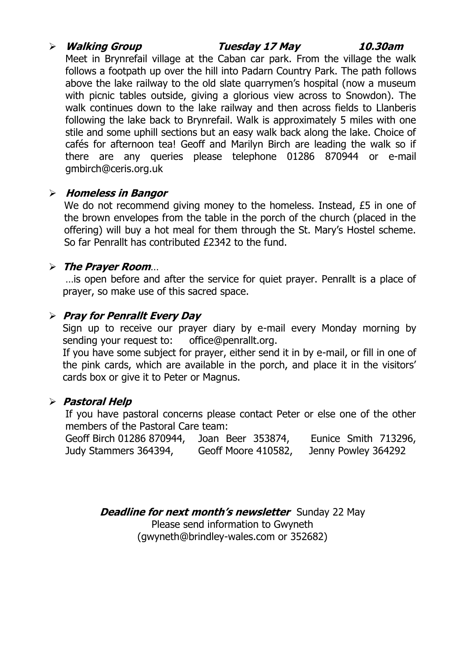#### **Walking Group Tuesday 17 May 10.30am**

Meet in Brynrefail village at the Caban car park. From the village the walk follows a footpath up over the hill into Padarn Country Park. The path follows above the lake railway to the old slate quarrymen's hospital (now a museum with picnic tables outside, giving a glorious view across to Snowdon). The walk continues down to the lake railway and then across fields to Llanberis following the lake back to Brynrefail. Walk is approximately 5 miles with one stile and some uphill sections but an easy walk back along the lake. Choice of cafés for afternoon tea! Geoff and Marilyn Birch are leading the walk so if there are any queries please telephone 01286 870944 or e-mail [gmbirch@ceris.org.uk](mailto:gmbirch@ceris.org.uk)

#### **Homeless in Bangor**

We do not recommend giving money to the homeless. Instead, £5 in one of the brown envelopes from the table in the porch of the church (placed in the offering) will buy a hot meal for them through the St. Mary"s Hostel scheme. So far Penrallt has contributed £2342 to the fund.

#### **The Prayer Room**…

…is open before and after the service for quiet prayer. Penrallt is a place of prayer, so make use of this sacred space.

#### **Pray for Penrallt Every Day**

Sign up to receive our prayer diary by e-mail every Monday morning by sending your request to: [office@penrallt.org.](mailto:office@penrallt.org)

If you have some subject for prayer, either send it in by e-mail, or fill in one of the pink cards, which are available in the porch, and place it in the visitors" cards box or give it to Peter or Magnus.

#### **Pastoral Help**

If you have pastoral concerns please contact Peter or else one of the other members of the Pastoral Care team:

| Geoff Birch 01286 870944, | Joan Beer 353874,   | Eunice Smith 713296, |
|---------------------------|---------------------|----------------------|
| Judy Stammers 364394,     | Geoff Moore 410582, | Jenny Powley 364292  |

**Deadline for next month's newsletter** Sunday 22 May

Please send information to Gwyneth [\(gwyneth@brindley-wales.com](mailto:gwyneth@brindley-wales.com) or 352682)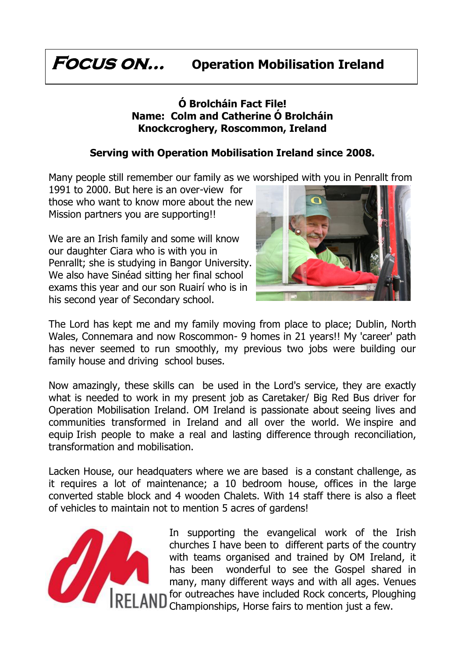### **Focus on… Operation Mobilisation Ireland**

#### **Ó Brolcháin Fact File! Name: Colm and Catherine Ó Brolcháin Knockcroghery, Roscommon, Ireland**

#### **Serving with Operation Mobilisation Ireland since 2008.**

Many people still remember our family as we worshiped with you in Penrallt from

1991 to 2000. But here is an over-view for those who want to know more about the new Mission partners you are supporting!!

We are an Irish family and some will know our daughter Ciara who is with you in Penrallt; she is studying in Bangor University. We also have Sinéad sitting her final school exams this year and our son Ruairí who is in his second year of Secondary school.



The Lord has kept me and my family moving from place to place; Dublin, North Wales, Connemara and now Roscommon- 9 homes in 21 years!! My 'career' path has never seemed to run smoothly, my previous two jobs were building our family house and driving school buses.

Now amazingly, these skills can be used in the Lord's service, they are exactly what is needed to work in my present job as Caretaker/ Big Red Bus driver for Operation Mobilisation Ireland. OM Ireland is passionate about seeing lives and communities transformed in Ireland and all over the world. We inspire and equip Irish people to make a real and lasting difference through reconciliation, transformation and mobilisation.

Lacken House, our headquaters where we are based is a constant challenge, as it requires a lot of maintenance; a 10 bedroom house, offices in the large converted stable block and 4 wooden Chalets. With 14 staff there is also a fleet of vehicles to maintain not to mention 5 acres of gardens!



In supporting the evangelical work of the Irish churches I have been to different parts of the country with teams organised and trained by OM Ireland, it has been wonderful to see the Gospel shared in many, many different ways and with all ages. Venues for outreaches have included Rock concerts, Ploughing **ID** for outreacnes nave monuted is the set of the Championships, Horse fairs to mention just a few.